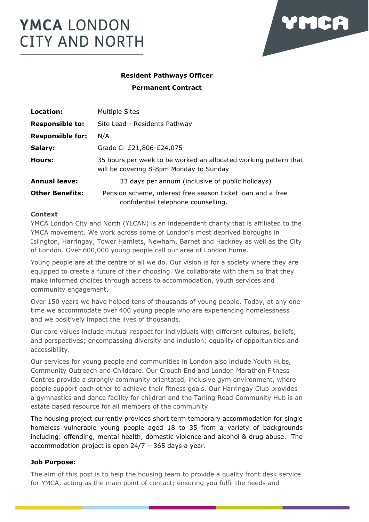

# **Resident Pathways Officer Permanent Contract**

| Location:               | <b>Multiple Sites</b>                                                                                       |
|-------------------------|-------------------------------------------------------------------------------------------------------------|
| <b>Responsible to:</b>  | Site Lead - Residents Pathway                                                                               |
| <b>Responsible for:</b> | N/A                                                                                                         |
| Salary:                 | Grade C- £21,806-£24,075                                                                                    |
| Hours:                  | 35 hours per week to be worked an allocated working pattern that<br>will be covering 8-8pm Monday to Sunday |
| <b>Annual leave:</b>    | 33 days per annum (inclusive of public holidays)                                                            |
| <b>Other Benefits:</b>  | Pension scheme, interest free season ticket loan and a free<br>confidential telephone counselling.          |

# **Context**

YMCA London City and North (YLCAN) is an independent charity that is affiliated to the YMCA movement. We work across some of London's most deprived boroughs in Islington, Harringay, Tower Hamlets, Newham, Barnet and Hackney as well as the City of London. Over 600,000 young people call our area of London home.

Young people are at the centre of all we do. Our vision is for a society where they are equipped to create a future of their choosing. We collaborate with them so that they make informed choices through access to accommodation, youth services and community engagement.

Over 150 years we have helped tens of thousands of young people. Today, at any one time we accommodate over 400 young people who are experiencing homelessness and we positively impact the lives of thousands.

Our core values include mutual respect for individuals with different cultures, beliefs, and perspectives; encompassing diversity and inclusion; equality of opportunities and accessibility.

Our services for young people and communities in London also include Youth Hubs, Community Outreach and Childcare. Our Crouch End and London Marathon Fitness Centres provide a strongly community orientated, inclusive gym environment, where people support each other to achieve their fitness goals. Our Harringay Club provides a gymnastics and dance facility for children and the Tarling Road Community Hub is an estate based resource for all members of the community.

The housing project currently provides short term temporary accommodation for single homeless vulnerable young people aged 18 to 35 from a variety of backgrounds including: offending, mental health, domestic violence and alcohol & drug abuse. The accommodation project is open 24/7 – 365 days a year.

# **Job Purpose:**

The aim of this post is to help the housing team to provide a quality front desk service for YMCA, acting as the main point of contact; ensuring you fulfil the needs and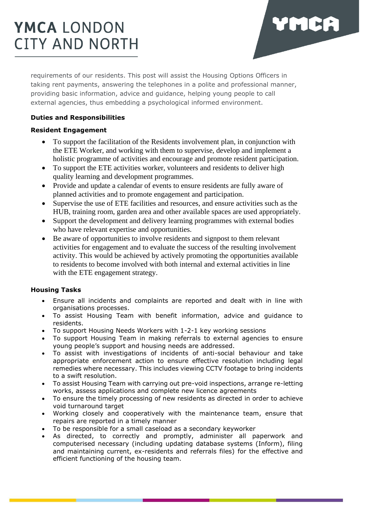

requirements of our residents. This post will assist the Housing Options Officers in taking rent payments, answering the telephones in a polite and professional manner, providing basic information, advice and guidance, helping young people to call external agencies, thus embedding a psychological informed environment.

# **Duties and Responsibilities**

# **Resident Engagement**

- To support the facilitation of the Residents involvement plan, in conjunction with the ETE Worker, and working with them to supervise, develop and implement a holistic programme of activities and encourage and promote resident participation.
- To support the ETE activities worker, volunteers and residents to deliver high quality learning and development programmes.
- Provide and update a calendar of events to ensure residents are fully aware of planned activities and to promote engagement and participation.
- Supervise the use of ETE facilities and resources, and ensure activities such as the HUB, training room, garden area and other available spaces are used appropriately.
- Support the development and delivery learning programmes with external bodies who have relevant expertise and opportunities.
- Be aware of opportunities to involve residents and signpost to them relevant activities for engagement and to evaluate the success of the resulting involvement activity. This would be achieved by actively promoting the opportunities available to residents to become involved with both internal and external activities in line with the ETE engagement strategy.

# **Housing Tasks**

- Ensure all incidents and complaints are reported and dealt with in line with organisations processes.
- To assist Housing Team with benefit information, advice and guidance to residents.
- To support Housing Needs Workers with 1-2-1 key working sessions
- To support Housing Team in making referrals to external agencies to ensure young people's support and housing needs are addressed.
- To assist with investigations of incidents of anti-social behaviour and take appropriate enforcement action to ensure effective resolution including legal remedies where necessary. This includes viewing CCTV footage to bring incidents to a swift resolution.
- To assist Housing Team with carrying out pre-void inspections, arrange re-letting works, assess applications and complete new licence agreements
- To ensure the timely processing of new residents as directed in order to achieve void turnaround target
- Working closely and cooperatively with the maintenance team, ensure that repairs are reported in a timely manner
- To be responsible for a small caseload as a secondary keyworker
- As directed, to correctly and promptly, administer all paperwork and computerised necessary (including updating database systems (Inform), filing and maintaining current, ex-residents and referrals files) for the effective and efficient functioning of the housing team.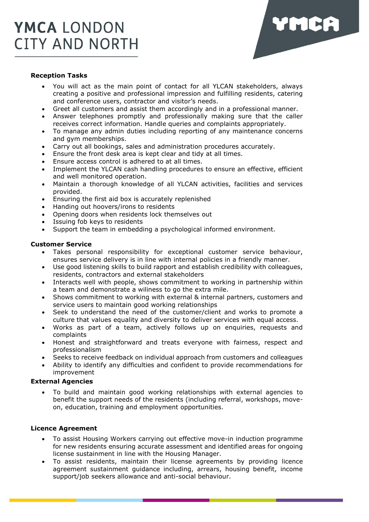

#### **Reception Tasks**

- You will act as the main point of contact for all YLCAN stakeholders, always creating a positive and professional impression and fulfilling residents, catering and conference users, contractor and visitor's needs.
- Greet all customers and assist them accordingly and in a professional manner.
- Answer telephones promptly and professionally making sure that the caller receives correct information. Handle queries and complaints appropriately.
- To manage any admin duties including reporting of any maintenance concerns and gym memberships.
- Carry out all bookings, sales and administration procedures accurately.
- Ensure the front desk area is kept clear and tidy at all times.
- Ensure access control is adhered to at all times.
- Implement the YLCAN cash handling procedures to ensure an effective, efficient and well monitored operation.
- Maintain a thorough knowledge of all YLCAN activities, facilities and services provided.
- Ensuring the first aid box is accurately replenished
- Handing out hoovers/irons to residents
- Opening doors when residents lock themselves out
- Issuing fob keys to residents
- Support the team in embedding a psychological informed environment.

#### **Customer Service**

- Takes personal responsibility for exceptional customer service behaviour, ensures service delivery is in line with internal policies in a friendly manner.
- Use good listening skills to build rapport and establish credibility with colleagues, residents, contractors and external stakeholders
- Interacts well with people, shows commitment to working in partnership within a team and demonstrate a wiliness to go the extra mile.
- Shows commitment to working with external & internal partners, customers and service users to maintain good working relationships
- Seek to understand the need of the customer/client and works to promote a culture that values equality and diversity to deliver services with equal access.
- Works as part of a team, actively follows up on enquiries, requests and complaints
- Honest and straightforward and treats everyone with fairness, respect and professionalism
- Seeks to receive feedback on individual approach from customers and colleagues
- Ability to identify any difficulties and confident to provide recommendations for improvement

#### **External Agencies**

• To build and maintain good working relationships with external agencies to benefit the support needs of the residents (including referral, workshops, moveon, education, training and employment opportunities.

#### **Licence Agreement**

- To assist Housing Workers carrying out effective move-in induction programme for new residents ensuring accurate assessment and identified areas for ongoing license sustainment in line with the Housing Manager.
- To assist residents, maintain their license agreements by providing licence agreement sustainment guidance including, arrears, housing benefit, income support/job seekers allowance and anti-social behaviour.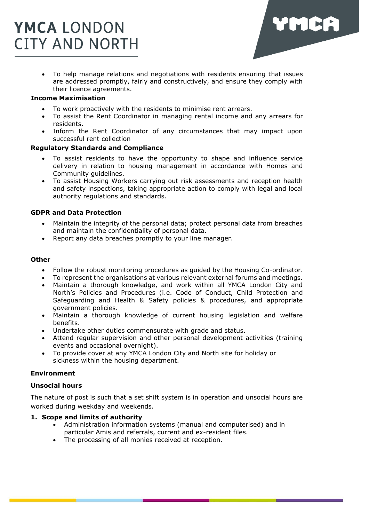

• To help manage relations and negotiations with residents ensuring that issues are addressed promptly, fairly and constructively, and ensure they comply with their licence agreements.

# **Income Maximisation**

- To work proactively with the residents to minimise rent arrears.
- To assist the Rent Coordinator in managing rental income and any arrears for residents.
- Inform the Rent Coordinator of any circumstances that may impact upon successful rent collection

#### **Regulatory Standards and Compliance**

- To assist residents to have the opportunity to shape and influence service delivery in relation to housing management in accordance with Homes and Community guidelines.
- To assist Housing Workers carrying out risk assessments and reception health and safety inspections, taking appropriate action to comply with legal and local authority regulations and standards.

# **GDPR and Data Protection**

- Maintain the integrity of the personal data; protect personal data from breaches and maintain the confidentiality of personal data.
- Report any data breaches promptly to your line manager.

#### **Other**

- Follow the robust monitoring procedures as guided by the Housing Co-ordinator.
- To represent the organisations at various relevant external forums and meetings.
- Maintain a thorough knowledge, and work within all YMCA London City and North's Policies and Procedures (i.e. Code of Conduct, Child Protection and Safeguarding and Health & Safety policies & procedures, and appropriate government policies.
- Maintain a thorough knowledge of current housing legislation and welfare benefits.
- Undertake other duties commensurate with grade and status.
- Attend regular supervision and other personal development activities (training events and occasional overnight).
- To provide cover at any YMCA London City and North site for holiday or sickness within the housing department.

# **Environment**

### **Unsocial hours**

The nature of post is such that a set shift system is in operation and unsocial hours are worked during weekday and weekends.

# **1. Scope and limits of authority**

- Administration information systems (manual and computerised) and in particular Amis and referrals, current and ex-resident files.
- The processing of all monies received at reception.